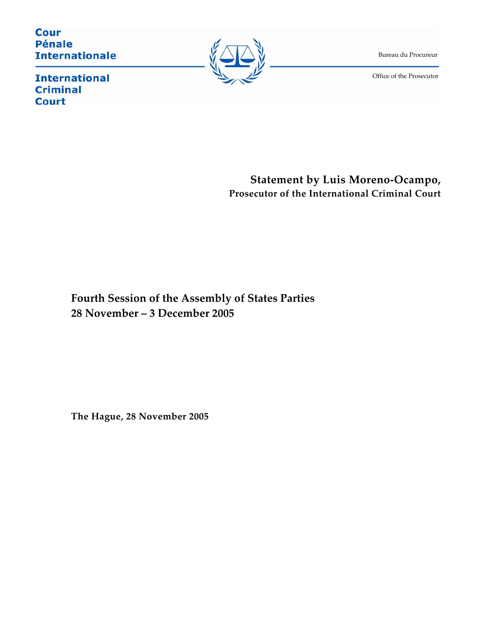**Cour Pénale Internationale** 



Bureau du Procureur

Office of the Prosecutor

 $\overline{\phantom{0}}$ 

**International Criminal Court** 

> **Statement by Luis Moreno-Ocampo, Prosecutor of the International Criminal Court**

**Fourth Session of the Assembly of States Parties 28 November – 3 December 2005** 

**The Hague, 28 November 2005**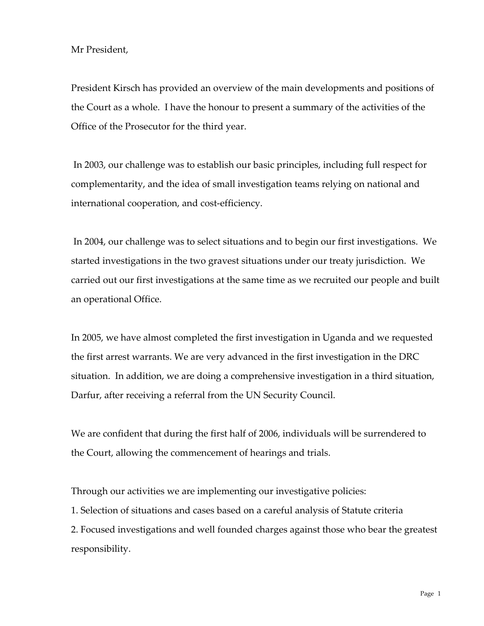## Mr President,

President Kirsch has provided an overview of the main developments and positions of the Court as a whole. I have the honour to present a summary of the activities of the Office of the Prosecutor for the third year.

 In 2003, our challenge was to establish our basic principles, including full respect for complementarity, and the idea of small investigation teams relying on national and international cooperation, and cost-efficiency.

 In 2004, our challenge was to select situations and to begin our first investigations. We started investigations in the two gravest situations under our treaty jurisdiction. We carried out our first investigations at the same time as we recruited our people and built an operational Office.

In 2005, we have almost completed the first investigation in Uganda and we requested the first arrest warrants. We are very advanced in the first investigation in the DRC situation. In addition, we are doing a comprehensive investigation in a third situation, Darfur, after receiving a referral from the UN Security Council.

We are confident that during the first half of 2006, individuals will be surrendered to the Court, allowing the commencement of hearings and trials.

Through our activities we are implementing our investigative policies:

1. Selection of situations and cases based on a careful analysis of Statute criteria

2. Focused investigations and well founded charges against those who bear the greatest responsibility.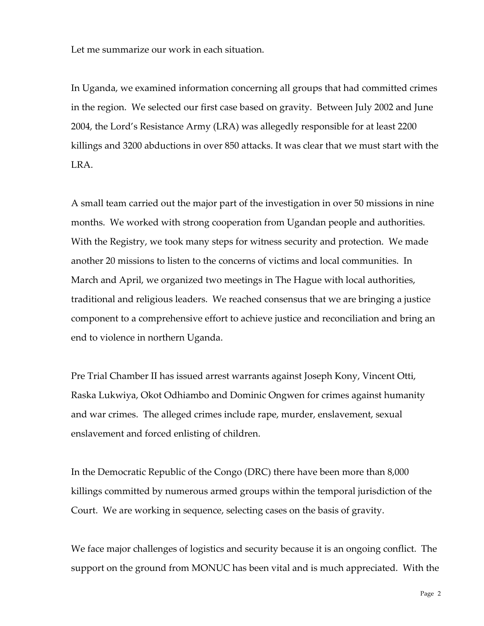Let me summarize our work in each situation.

In Uganda, we examined information concerning all groups that had committed crimes in the region. We selected our first case based on gravity. Between July 2002 and June 2004, the Lord's Resistance Army (LRA) was allegedly responsible for at least 2200 killings and 3200 abductions in over 850 attacks. It was clear that we must start with the LRA.

A small team carried out the major part of the investigation in over 50 missions in nine months. We worked with strong cooperation from Ugandan people and authorities. With the Registry, we took many steps for witness security and protection. We made another 20 missions to listen to the concerns of victims and local communities. In March and April, we organized two meetings in The Hague with local authorities, traditional and religious leaders. We reached consensus that we are bringing a justice component to a comprehensive effort to achieve justice and reconciliation and bring an end to violence in northern Uganda.

Pre Trial Chamber II has issued arrest warrants against Joseph Kony, Vincent Otti, Raska Lukwiya, Okot Odhiambo and Dominic Ongwen for crimes against humanity and war crimes. The alleged crimes include rape, murder, enslavement, sexual enslavement and forced enlisting of children.

In the Democratic Republic of the Congo (DRC) there have been more than 8,000 killings committed by numerous armed groups within the temporal jurisdiction of the Court. We are working in sequence, selecting cases on the basis of gravity.

We face major challenges of logistics and security because it is an ongoing conflict. The support on the ground from MONUC has been vital and is much appreciated. With the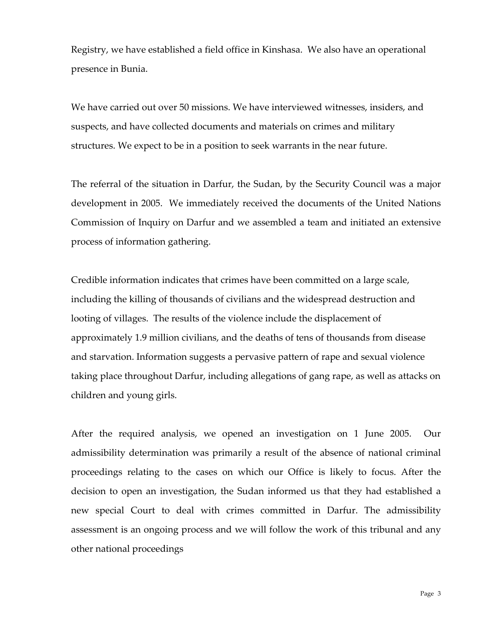Registry, we have established a field office in Kinshasa. We also have an operational presence in Bunia.

We have carried out over 50 missions. We have interviewed witnesses, insiders, and suspects, and have collected documents and materials on crimes and military structures. We expect to be in a position to seek warrants in the near future.

The referral of the situation in Darfur, the Sudan, by the Security Council was a major development in 2005. We immediately received the documents of the United Nations Commission of Inquiry on Darfur and we assembled a team and initiated an extensive process of information gathering.

Credible information indicates that crimes have been committed on a large scale, including the killing of thousands of civilians and the widespread destruction and looting of villages. The results of the violence include the displacement of approximately 1.9 million civilians, and the deaths of tens of thousands from disease and starvation. Information suggests a pervasive pattern of rape and sexual violence taking place throughout Darfur, including allegations of gang rape, as well as attacks on children and young girls.

After the required analysis, we opened an investigation on 1 June 2005. Our admissibility determination was primarily a result of the absence of national criminal proceedings relating to the cases on which our Office is likely to focus. After the decision to open an investigation, the Sudan informed us that they had established a new special Court to deal with crimes committed in Darfur. The admissibility assessment is an ongoing process and we will follow the work of this tribunal and any other national proceedings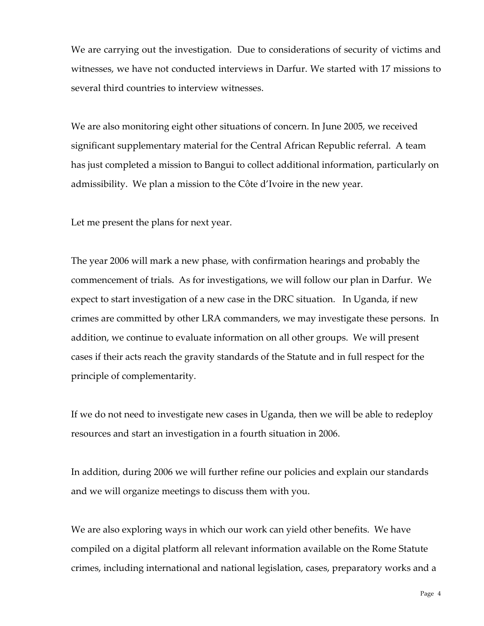We are carrying out the investigation. Due to considerations of security of victims and witnesses, we have not conducted interviews in Darfur. We started with 17 missions to several third countries to interview witnesses.

We are also monitoring eight other situations of concern. In June 2005, we received significant supplementary material for the Central African Republic referral. A team has just completed a mission to Bangui to collect additional information, particularly on admissibility. We plan a mission to the Côte d'Ivoire in the new year.

Let me present the plans for next year.

The year 2006 will mark a new phase, with confirmation hearings and probably the commencement of trials. As for investigations, we will follow our plan in Darfur. We expect to start investigation of a new case in the DRC situation. In Uganda, if new crimes are committed by other LRA commanders, we may investigate these persons. In addition, we continue to evaluate information on all other groups. We will present cases if their acts reach the gravity standards of the Statute and in full respect for the principle of complementarity.

If we do not need to investigate new cases in Uganda, then we will be able to redeploy resources and start an investigation in a fourth situation in 2006.

In addition, during 2006 we will further refine our policies and explain our standards and we will organize meetings to discuss them with you.

We are also exploring ways in which our work can yield other benefits. We have compiled on a digital platform all relevant information available on the Rome Statute crimes, including international and national legislation, cases, preparatory works and a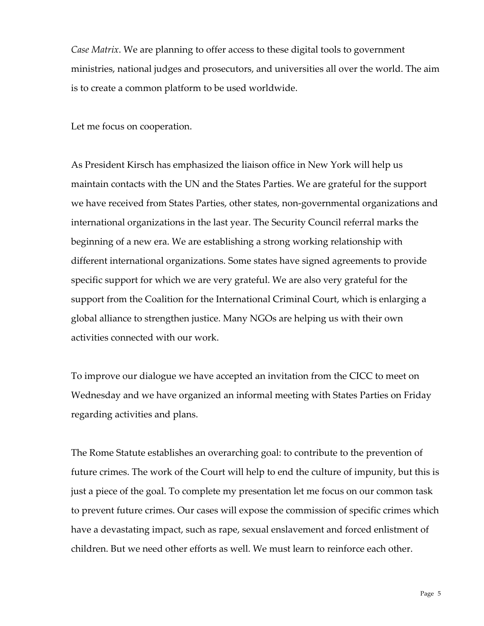*Case Matrix*. We are planning to offer access to these digital tools to government ministries, national judges and prosecutors, and universities all over the world. The aim is to create a common platform to be used worldwide.

Let me focus on cooperation.

As President Kirsch has emphasized the liaison office in New York will help us maintain contacts with the UN and the States Parties. We are grateful for the support we have received from States Parties, other states, non-governmental organizations and international organizations in the last year. The Security Council referral marks the beginning of a new era. We are establishing a strong working relationship with different international organizations. Some states have signed agreements to provide specific support for which we are very grateful. We are also very grateful for the support from the Coalition for the International Criminal Court, which is enlarging a global alliance to strengthen justice. Many NGOs are helping us with their own activities connected with our work.

To improve our dialogue we have accepted an invitation from the CICC to meet on Wednesday and we have organized an informal meeting with States Parties on Friday regarding activities and plans.

The Rome Statute establishes an overarching goal: to contribute to the prevention of future crimes. The work of the Court will help to end the culture of impunity, but this is just a piece of the goal. To complete my presentation let me focus on our common task to prevent future crimes. Our cases will expose the commission of specific crimes which have a devastating impact, such as rape, sexual enslavement and forced enlistment of children. But we need other efforts as well. We must learn to reinforce each other.